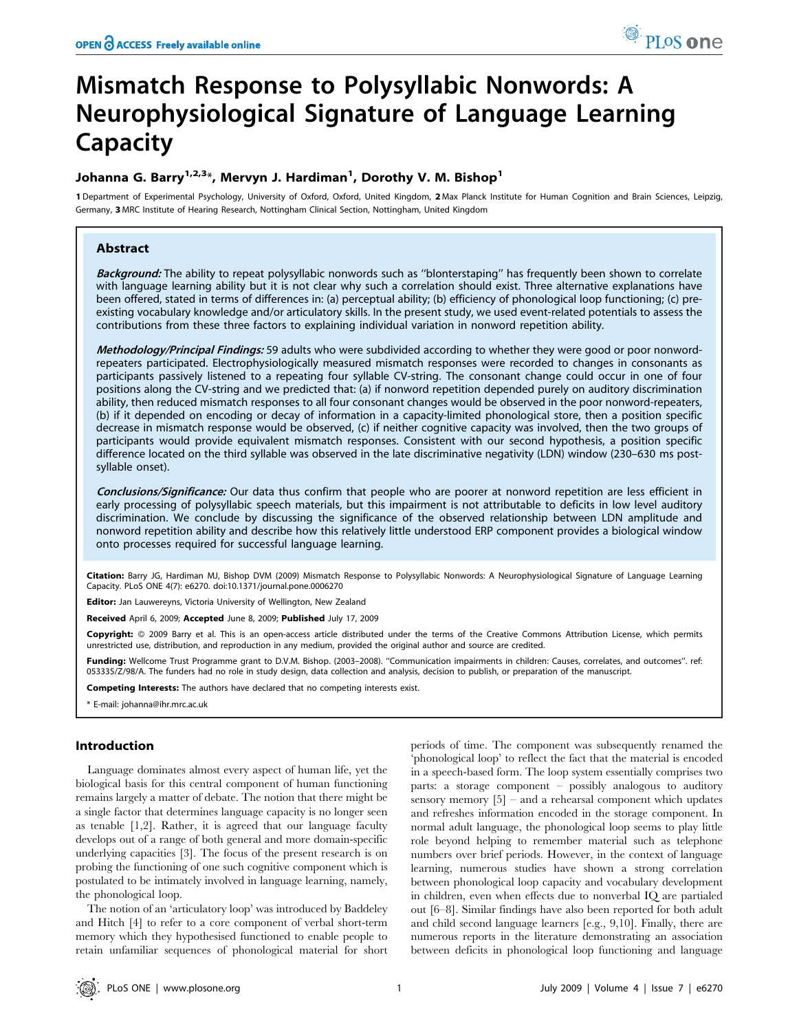# Mismatch Response to Polysyllabic Nonwords: A Neurophysiological Signature of Language Learning Capacity

## Johanna G. Barry<sup>1,2,3</sup>\*, Mervyn J. Hardiman<sup>1</sup>, Dorothy V. M. Bishop<sup>1</sup>

1 Department of Experimental Psychology, University of Oxford, Oxford, United Kingdom, 2 Max Planck Institute for Human Cognition and Brain Sciences, Leipzig, Germany, 3 MRC Institute of Hearing Research, Nottingham Clinical Section, Nottingham, United Kingdom

## Abstract

Background: The ability to repeat polysyllabic nonwords such as "blonterstaping" has frequently been shown to correlate with language learning ability but it is not clear why such a correlation should exist. Three alternative explanations have been offered, stated in terms of differences in: (a) perceptual ability; (b) efficiency of phonological loop functioning; (c) preexisting vocabulary knowledge and/or articulatory skills. In the present study, we used event-related potentials to assess the contributions from these three factors to explaining individual variation in nonword repetition ability.

Methodology/Principal Findings: 59 adults who were subdivided according to whether they were good or poor nonwordrepeaters participated. Electrophysiologically measured mismatch responses were recorded to changes in consonants as participants passively listened to a repeating four syllable CV-string. The consonant change could occur in one of four positions along the CV-string and we predicted that: (a) if nonword repetition depended purely on auditory discrimination ability, then reduced mismatch responses to all four consonant changes would be observed in the poor nonword-repeaters, (b) if it depended on encoding or decay of information in a capacity-limited phonological store, then a position specific decrease in mismatch response would be observed, (c) if neither cognitive capacity was involved, then the two groups of participants would provide equivalent mismatch responses. Consistent with our second hypothesis, a position specific difference located on the third syllable was observed in the late discriminative negativity (LDN) window (230–630 ms postsyllable onset).

Conclusions/Significance: Our data thus confirm that people who are poorer at nonword repetition are less efficient in early processing of polysyllabic speech materials, but this impairment is not attributable to deficits in low level auditory discrimination. We conclude by discussing the significance of the observed relationship between LDN amplitude and nonword repetition ability and describe how this relatively little understood ERP component provides a biological window onto processes required for successful language learning.

Citation: Barry JG, Hardiman MJ, Bishop DVM (2009) Mismatch Response to Polysyllabic Nonwords: A Neurophysiological Signature of Language Learning Capacity. PLoS ONE 4(7): e6270. doi:10.1371/journal.pone.0006270

Editor: Jan Lauwereyns, Victoria University of Wellington, New Zealand

Received April 6, 2009; Accepted June 8, 2009; Published July 17, 2009

Copyright: @ 2009 Barry et al. This is an open-access article distributed under the terms of the Creative Commons Attribution License, which permits unrestricted use, distribution, and reproduction in any medium, provided the original author and source are credited.

Funding: Wellcome Trust Programme grant to D.V.M. Bishop. (2003–2008). "Communication impairments in children: Causes, correlates, and outcomes". ref: 053335/Z/98/A. The funders had no role in study design, data collection and analysis, decision to publish, or preparation of the manuscript.

Competing Interests: The authors have declared that no competing interests exist.

## Introduction

Language dominates almost every aspect of human life, yet the biological basis for this central component of human functioning remains largely a matter of debate. The notion that there might be a single factor that determines language capacity is no longer seen as tenable [1,2]. Rather, it is agreed that our language faculty develops out of a range of both general and more domain-specific underlying capacities [3]. The focus of the present research is on probing the functioning of one such cognitive component which is postulated to be intimately involved in language learning, namely, the phonological loop.

The notion of an 'articulatory loop' was introduced by Baddeley and Hitch [4] to refer to a core component of verbal short-term memory which they hypothesised functioned to enable people to retain unfamiliar sequences of phonological material for short periods of time. The component was subsequently renamed the 'phonological loop' to reflect the fact that the material is encoded in a speech-based form. The loop system essentially comprises two parts: a storage component – possibly analogous to auditory sensory memory  $[5]$  – and a rehearsal component which updates and refreshes information encoded in the storage component. In normal adult language, the phonological loop seems to play little role beyond helping to remember material such as telephone numbers over brief periods. However, in the context of language learning, numerous studies have shown a strong correlation between phonological loop capacity and vocabulary development in children, even when effects due to nonverbal IQ are partialed out [6–8]. Similar findings have also been reported for both adult and child second language learners [e.g., 9,10]. Finally, there are numerous reports in the literature demonstrating an association between deficits in phonological loop functioning and language

<sup>\*</sup> E-mail: johanna@ihr.mrc.ac.uk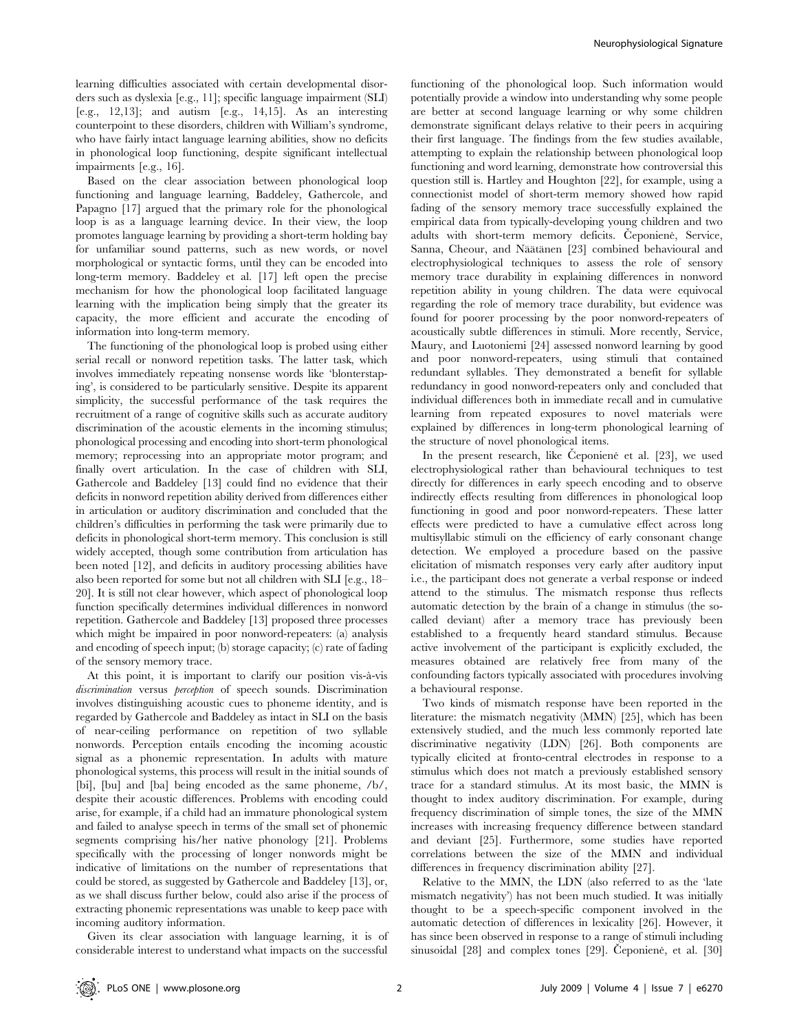learning difficulties associated with certain developmental disorders such as dyslexia [e.g., 11]; specific language impairment (SLI) [e.g., 12,13]; and autism [e.g., 14,15]. As an interesting counterpoint to these disorders, children with William's syndrome, who have fairly intact language learning abilities, show no deficits in phonological loop functioning, despite significant intellectual impairments [e.g., 16].

Based on the clear association between phonological loop functioning and language learning, Baddeley, Gathercole, and Papagno [17] argued that the primary role for the phonological loop is as a language learning device. In their view, the loop promotes language learning by providing a short-term holding bay for unfamiliar sound patterns, such as new words, or novel morphological or syntactic forms, until they can be encoded into long-term memory. Baddeley et al. [17] left open the precise mechanism for how the phonological loop facilitated language learning with the implication being simply that the greater its capacity, the more efficient and accurate the encoding of information into long-term memory.

The functioning of the phonological loop is probed using either serial recall or nonword repetition tasks. The latter task, which involves immediately repeating nonsense words like 'blonterstaping', is considered to be particularly sensitive. Despite its apparent simplicity, the successful performance of the task requires the recruitment of a range of cognitive skills such as accurate auditory discrimination of the acoustic elements in the incoming stimulus; phonological processing and encoding into short-term phonological memory; reprocessing into an appropriate motor program; and finally overt articulation. In the case of children with SLI, Gathercole and Baddeley [13] could find no evidence that their deficits in nonword repetition ability derived from differences either in articulation or auditory discrimination and concluded that the children's difficulties in performing the task were primarily due to deficits in phonological short-term memory. This conclusion is still widely accepted, though some contribution from articulation has been noted [12], and deficits in auditory processing abilities have also been reported for some but not all children with SLI [e.g., 18– 20]. It is still not clear however, which aspect of phonological loop function specifically determines individual differences in nonword repetition. Gathercole and Baddeley [13] proposed three processes which might be impaired in poor nonword-repeaters: (a) analysis and encoding of speech input; (b) storage capacity; (c) rate of fading of the sensory memory trace.

At this point, it is important to clarify our position vis-à-vis discrimination versus perception of speech sounds. Discrimination involves distinguishing acoustic cues to phoneme identity, and is regarded by Gathercole and Baddeley as intact in SLI on the basis of near-ceiling performance on repetition of two syllable nonwords. Perception entails encoding the incoming acoustic signal as a phonemic representation. In adults with mature phonological systems, this process will result in the initial sounds of [bi], [bu] and [ba] being encoded as the same phoneme, /b/, despite their acoustic differences. Problems with encoding could arise, for example, if a child had an immature phonological system and failed to analyse speech in terms of the small set of phonemic segments comprising his/her native phonology [21]. Problems specifically with the processing of longer nonwords might be indicative of limitations on the number of representations that could be stored, as suggested by Gathercole and Baddeley [13], or, as we shall discuss further below, could also arise if the process of extracting phonemic representations was unable to keep pace with incoming auditory information.

Given its clear association with language learning, it is of considerable interest to understand what impacts on the successful

functioning of the phonological loop. Such information would potentially provide a window into understanding why some people are better at second language learning or why some children demonstrate significant delays relative to their peers in acquiring their first language. The findings from the few studies available, attempting to explain the relationship between phonological loop functioning and word learning, demonstrate how controversial this question still is. Hartley and Houghton [22], for example, using a connectionist model of short-term memory showed how rapid fading of the sensory memory trace successfully explained the empirical data from typically-developing young children and two adults with short-term memory deficits. Čeponienė, Service, Sanna, Cheour, and Näätänen [23] combined behavioural and electrophysiological techniques to assess the role of sensory memory trace durability in explaining differences in nonword repetition ability in young children. The data were equivocal regarding the role of memory trace durability, but evidence was found for poorer processing by the poor nonword-repeaters of acoustically subtle differences in stimuli. More recently, Service, Maury, and Luotoniemi [24] assessed nonword learning by good and poor nonword-repeaters, using stimuli that contained redundant syllables. They demonstrated a benefit for syllable redundancy in good nonword-repeaters only and concluded that individual differences both in immediate recall and in cumulative learning from repeated exposures to novel materials were explained by differences in long-term phonological learning of the structure of novel phonological items.

In the present research, like Ceponiene et al. [23], we used electrophysiological rather than behavioural techniques to test directly for differences in early speech encoding and to observe indirectly effects resulting from differences in phonological loop functioning in good and poor nonword-repeaters. These latter effects were predicted to have a cumulative effect across long multisyllabic stimuli on the efficiency of early consonant change detection. We employed a procedure based on the passive elicitation of mismatch responses very early after auditory input i.e., the participant does not generate a verbal response or indeed attend to the stimulus. The mismatch response thus reflects automatic detection by the brain of a change in stimulus (the socalled deviant) after a memory trace has previously been established to a frequently heard standard stimulus. Because active involvement of the participant is explicitly excluded, the measures obtained are relatively free from many of the confounding factors typically associated with procedures involving a behavioural response.

Two kinds of mismatch response have been reported in the literature: the mismatch negativity (MMN) [25], which has been extensively studied, and the much less commonly reported late discriminative negativity (LDN) [26]. Both components are typically elicited at fronto-central electrodes in response to a stimulus which does not match a previously established sensory trace for a standard stimulus. At its most basic, the MMN is thought to index auditory discrimination. For example, during frequency discrimination of simple tones, the size of the MMN increases with increasing frequency difference between standard and deviant [25]. Furthermore, some studies have reported correlations between the size of the MMN and individual differences in frequency discrimination ability [27].

Relative to the MMN, the LDN (also referred to as the 'late mismatch negativity') has not been much studied. It was initially thought to be a speech-specific component involved in the automatic detection of differences in lexicality [26]. However, it has since been observed in response to a range of stimuli including sinusoidal [28] and complex tones [29]. Ceponiene, et al. [30]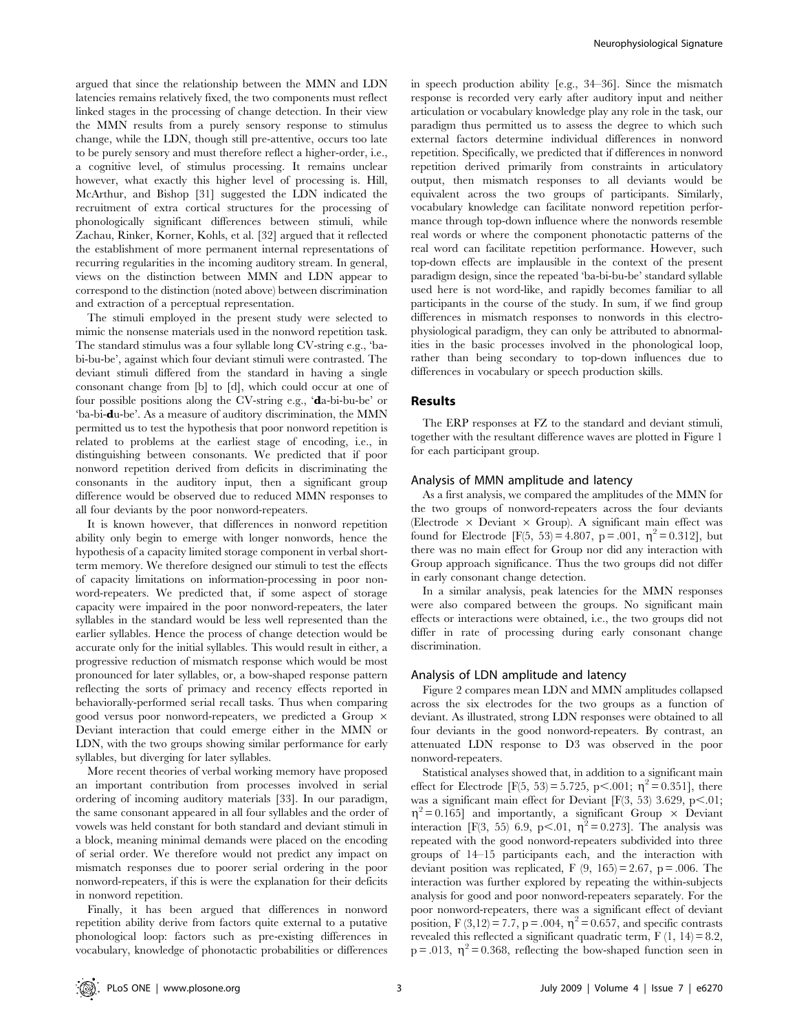argued that since the relationship between the MMN and LDN latencies remains relatively fixed, the two components must reflect linked stages in the processing of change detection. In their view the MMN results from a purely sensory response to stimulus change, while the LDN, though still pre-attentive, occurs too late to be purely sensory and must therefore reflect a higher-order, i.e., a cognitive level, of stimulus processing. It remains unclear however, what exactly this higher level of processing is. Hill, McArthur, and Bishop [31] suggested the LDN indicated the recruitment of extra cortical structures for the processing of phonologically significant differences between stimuli, while Zachau, Rinker, Korner, Kohls, et al. [32] argued that it reflected the establishment of more permanent internal representations of recurring regularities in the incoming auditory stream. In general, views on the distinction between MMN and LDN appear to correspond to the distinction (noted above) between discrimination and extraction of a perceptual representation.

The stimuli employed in the present study were selected to mimic the nonsense materials used in the nonword repetition task. The standard stimulus was a four syllable long CV-string e.g., 'babi-bu-be', against which four deviant stimuli were contrasted. The deviant stimuli differed from the standard in having a single consonant change from [b] to [d], which could occur at one of four possible positions along the CV-string e.g., 'da-bi-bu-be' or 'ba-bi-du-be'. As a measure of auditory discrimination, the MMN permitted us to test the hypothesis that poor nonword repetition is related to problems at the earliest stage of encoding, i.e., in distinguishing between consonants. We predicted that if poor nonword repetition derived from deficits in discriminating the consonants in the auditory input, then a significant group difference would be observed due to reduced MMN responses to all four deviants by the poor nonword-repeaters.

It is known however, that differences in nonword repetition ability only begin to emerge with longer nonwords, hence the hypothesis of a capacity limited storage component in verbal shortterm memory. We therefore designed our stimuli to test the effects of capacity limitations on information-processing in poor nonword-repeaters. We predicted that, if some aspect of storage capacity were impaired in the poor nonword-repeaters, the later syllables in the standard would be less well represented than the earlier syllables. Hence the process of change detection would be accurate only for the initial syllables. This would result in either, a progressive reduction of mismatch response which would be most pronounced for later syllables, or, a bow-shaped response pattern reflecting the sorts of primacy and recency effects reported in behaviorally-performed serial recall tasks. Thus when comparing good versus poor nonword-repeaters, we predicted a Group  $\times$ Deviant interaction that could emerge either in the MMN or LDN, with the two groups showing similar performance for early syllables, but diverging for later syllables.

More recent theories of verbal working memory have proposed an important contribution from processes involved in serial ordering of incoming auditory materials [33]. In our paradigm, the same consonant appeared in all four syllables and the order of vowels was held constant for both standard and deviant stimuli in a block, meaning minimal demands were placed on the encoding of serial order. We therefore would not predict any impact on mismatch responses due to poorer serial ordering in the poor nonword-repeaters, if this is were the explanation for their deficits in nonword repetition.

Finally, it has been argued that differences in nonword repetition ability derive from factors quite external to a putative phonological loop: factors such as pre-existing differences in vocabulary, knowledge of phonotactic probabilities or differences

in speech production ability [e.g., 34–36]. Since the mismatch response is recorded very early after auditory input and neither articulation or vocabulary knowledge play any role in the task, our paradigm thus permitted us to assess the degree to which such external factors determine individual differences in nonword repetition. Specifically, we predicted that if differences in nonword repetition derived primarily from constraints in articulatory output, then mismatch responses to all deviants would be equivalent across the two groups of participants. Similarly, vocabulary knowledge can facilitate nonword repetition performance through top-down influence where the nonwords resemble real words or where the component phonotactic patterns of the real word can facilitate repetition performance. However, such top-down effects are implausible in the context of the present paradigm design, since the repeated 'ba-bi-bu-be' standard syllable used here is not word-like, and rapidly becomes familiar to all participants in the course of the study. In sum, if we find group differences in mismatch responses to nonwords in this electrophysiological paradigm, they can only be attributed to abnormalities in the basic processes involved in the phonological loop, rather than being secondary to top-down influences due to differences in vocabulary or speech production skills.

#### Results

The ERP responses at FZ to the standard and deviant stimuli, together with the resultant difference waves are plotted in Figure 1 for each participant group.

#### Analysis of MMN amplitude and latency

As a first analysis, we compared the amplitudes of the MMN for the two groups of nonword-repeaters across the four deviants (Electrode  $\times$  Deviant  $\times$  Group). A significant main effect was found for Electrode [F(5, 53) = 4.807, p = .001,  $\eta^2$  = 0.312], but there was no main effect for Group nor did any interaction with Group approach significance. Thus the two groups did not differ in early consonant change detection.

In a similar analysis, peak latencies for the MMN responses were also compared between the groups. No significant main effects or interactions were obtained, i.e., the two groups did not differ in rate of processing during early consonant change discrimination.

## Analysis of LDN amplitude and latency

Figure 2 compares mean LDN and MMN amplitudes collapsed across the six electrodes for the two groups as a function of deviant. As illustrated, strong LDN responses were obtained to all four deviants in the good nonword-repeaters. By contrast, an attenuated LDN response to D3 was observed in the poor nonword-repeaters.

Statistical analyses showed that, in addition to a significant main effect for Electrode [F(5, 53) = 5.725, p $\lt$ .001;  $\eta^2$  = 0.351], there was a significant main effect for Deviant  $[F(3, 53) 3.629, p<.01;$  $\eta^2$  = 0.165] and importantly, a significant Group  $\times$  Deviant interaction [F(3, 55) 6.9, p<.01,  $\eta^2 = 0.273$ ]. The analysis was repeated with the good nonword-repeaters subdivided into three groups of 14–15 participants each, and the interaction with deviant position was replicated, F  $(9, 165) = 2.67$ , p = .006. The interaction was further explored by repeating the within-subjects analysis for good and poor nonword-repeaters separately. For the poor nonword-repeaters, there was a significant effect of deviant position, F (3,12) = 7.7, p = .004,  $\eta^2$  = 0.657, and specific contrasts revealed this reflected a significant quadratic term,  $F(1, 14) = 8.2$ ,  $p = .013$ ,  $\eta^2 = 0.368$ , reflecting the bow-shaped function seen in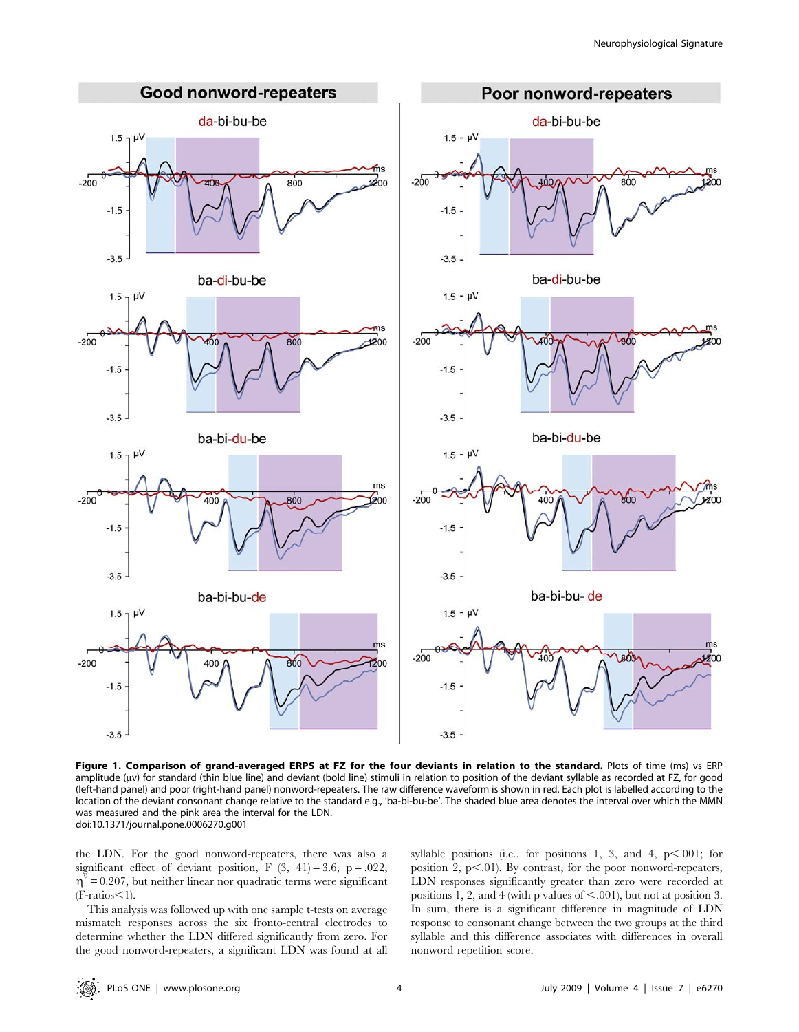

Figure 1. Comparison of grand-averaged ERPS at FZ for the four deviants in relation to the standard. Plots of time (ms) vs ERP amplitude (uv) for standard (thin blue line) and deviant (bold line) stimuli in relation to position of the deviant syllable as recorded at FZ, for good (left-hand panel) and poor (right-hand panel) nonword-repeaters. The raw difference waveform is shown in red. Each plot is labelled according to the location of the deviant consonant change relative to the standard e.g., 'ba-bi-bu-be'. The shaded blue area denotes the interval over which the MMN was measured and the pink area the interval for the LDN. doi:10.1371/journal.pone.0006270.g001

the LDN. For the good nonword-repeaters, there was also a significant effect of deviant position, F  $(3, 41) = 3.6$ , p = .022,  $\eta^2$  = 0.207, but neither linear nor quadratic terms were significant  $(F\text{-ratios}\leq 1)$ .

This analysis was followed up with one sample t-tests on average mismatch responses across the six fronto-central electrodes to determine whether the LDN differed significantly from zero. For the good nonword-repeaters, a significant LDN was found at all syllable positions (i.e., for positions 1, 3, and 4,  $p<.001$ ; for position 2, p<.01). By contrast, for the poor nonword-repeaters, LDN responses significantly greater than zero were recorded at positions 1, 2, and 4 (with p values of  $\leq$ .001), but not at position 3. In sum, there is a significant difference in magnitude of LDN response to consonant change between the two groups at the third syllable and this difference associates with differences in overall nonword repetition score.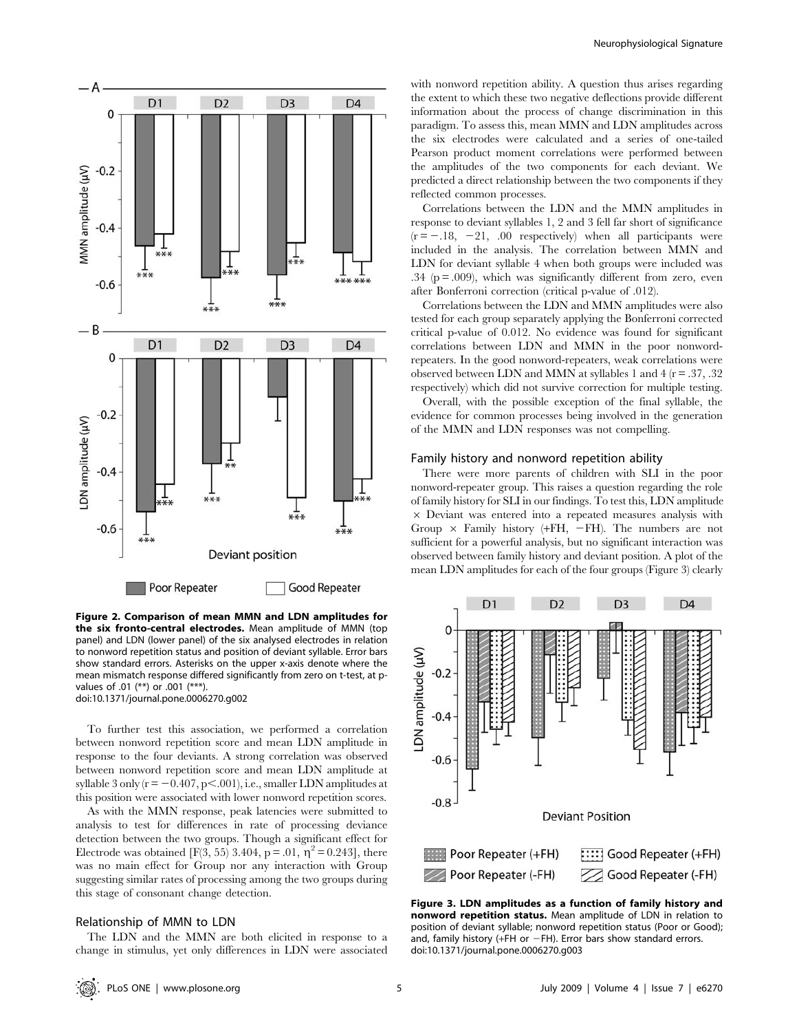

Figure 2. Comparison of mean MMN and LDN amplitudes for the six fronto-central electrodes. Mean amplitude of MMN (top panel) and LDN (lower panel) of the six analysed electrodes in relation to nonword repetition status and position of deviant syllable. Error bars show standard errors. Asterisks on the upper x-axis denote where the mean mismatch response differed significantly from zero on t-test, at pvalues of .01 (\*\*) or .001 (\*\*\*). doi:10.1371/journal.pone.0006270.g002

To further test this association, we performed a correlation between nonword repetition score and mean LDN amplitude in response to the four deviants. A strong correlation was observed between nonword repetition score and mean LDN amplitude at syllable 3 only  $(r = -0.407, p<.001)$ , i.e., smaller LDN amplitudes at this position were associated with lower nonword repetition scores.

As with the MMN response, peak latencies were submitted to analysis to test for differences in rate of processing deviance detection between the two groups. Though a significant effect for Electrode was obtained [F(3, 55) 3.404, p = .01,  $\eta^2$  = 0.243], there was no main effect for Group nor any interaction with Group suggesting similar rates of processing among the two groups during this stage of consonant change detection.

#### Relationship of MMN to LDN

The LDN and the MMN are both elicited in response to a change in stimulus, yet only differences in LDN were associated

with nonword repetition ability. A question thus arises regarding the extent to which these two negative deflections provide different information about the process of change discrimination in this paradigm. To assess this, mean MMN and LDN amplitudes across the six electrodes were calculated and a series of one-tailed Pearson product moment correlations were performed between the amplitudes of the two components for each deviant. We predicted a direct relationship between the two components if they reflected common processes.

Correlations between the LDN and the MMN amplitudes in response to deviant syllables 1, 2 and 3 fell far short of significance  $(r = -18, -21, .00$  respectively) when all participants were included in the analysis. The correlation between MMN and LDN for deviant syllable 4 when both groups were included was .34 ( $p = .009$ ), which was significantly different from zero, even after Bonferroni correction (critical p-value of .012).

Correlations between the LDN and MMN amplitudes were also tested for each group separately applying the Bonferroni corrected critical p-value of 0.012. No evidence was found for significant correlations between LDN and MMN in the poor nonwordrepeaters. In the good nonword-repeaters, weak correlations were observed between LDN and MMN at syllables 1 and 4 (r = .37, .32 respectively) which did not survive correction for multiple testing.

Overall, with the possible exception of the final syllable, the evidence for common processes being involved in the generation of the MMN and LDN responses was not compelling.

#### Family history and nonword repetition ability

There were more parents of children with SLI in the poor nonword-repeater group. This raises a question regarding the role of family history for SLI in our findings. To test this, LDN amplitude  $\times$  Deviant was entered into a repeated measures analysis with Group  $\times$  Family history (+FH, -FH). The numbers are not sufficient for a powerful analysis, but no significant interaction was observed between family history and deviant position. A plot of the mean LDN amplitudes for each of the four groups (Figure 3) clearly



Figure 3. LDN amplitudes as a function of family history and nonword repetition status. Mean amplitude of LDN in relation to position of deviant syllable; nonword repetition status (Poor or Good); and, family history (+FH or  $-FH$ ). Error bars show standard errors. doi:10.1371/journal.pone.0006270.g003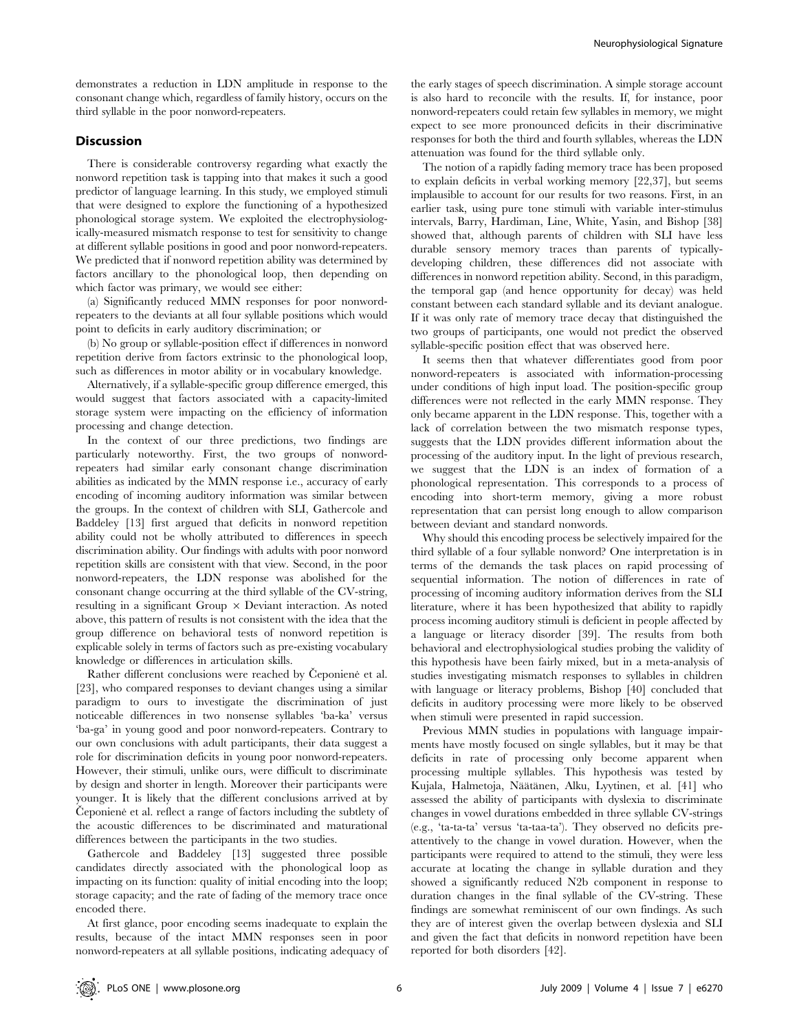demonstrates a reduction in LDN amplitude in response to the consonant change which, regardless of family history, occurs on the third syllable in the poor nonword-repeaters.

## Discussion

There is considerable controversy regarding what exactly the nonword repetition task is tapping into that makes it such a good predictor of language learning. In this study, we employed stimuli that were designed to explore the functioning of a hypothesized phonological storage system. We exploited the electrophysiologically-measured mismatch response to test for sensitivity to change at different syllable positions in good and poor nonword-repeaters. We predicted that if nonword repetition ability was determined by factors ancillary to the phonological loop, then depending on which factor was primary, we would see either:

(a) Significantly reduced MMN responses for poor nonwordrepeaters to the deviants at all four syllable positions which would point to deficits in early auditory discrimination; or

(b) No group or syllable-position effect if differences in nonword repetition derive from factors extrinsic to the phonological loop, such as differences in motor ability or in vocabulary knowledge.

Alternatively, if a syllable-specific group difference emerged, this would suggest that factors associated with a capacity-limited storage system were impacting on the efficiency of information processing and change detection.

In the context of our three predictions, two findings are particularly noteworthy. First, the two groups of nonwordrepeaters had similar early consonant change discrimination abilities as indicated by the MMN response i.e., accuracy of early encoding of incoming auditory information was similar between the groups. In the context of children with SLI, Gathercole and Baddeley [13] first argued that deficits in nonword repetition ability could not be wholly attributed to differences in speech discrimination ability. Our findings with adults with poor nonword repetition skills are consistent with that view. Second, in the poor nonword-repeaters, the LDN response was abolished for the consonant change occurring at the third syllable of the CV-string, resulting in a significant Group  $\times$  Deviant interaction. As noted above, this pattern of results is not consistent with the idea that the group difference on behavioral tests of nonword repetition is explicable solely in terms of factors such as pre-existing vocabulary knowledge or differences in articulation skills.

Rather different conclusions were reached by Ceponiene et al. [23], who compared responses to deviant changes using a similar paradigm to ours to investigate the discrimination of just noticeable differences in two nonsense syllables 'ba-ka' versus 'ba-ga' in young good and poor nonword-repeaters. Contrary to our own conclusions with adult participants, their data suggest a role for discrimination deficits in young poor nonword-repeaters. However, their stimuli, unlike ours, were difficult to discriminate by design and shorter in length. Moreover their participants were younger. It is likely that the different conclusions arrived at by Čeponiene et al. reflect a range of factors including the subtlety of the acoustic differences to be discriminated and maturational differences between the participants in the two studies.

Gathercole and Baddeley [13] suggested three possible candidates directly associated with the phonological loop as impacting on its function: quality of initial encoding into the loop; storage capacity; and the rate of fading of the memory trace once encoded there.

At first glance, poor encoding seems inadequate to explain the results, because of the intact MMN responses seen in poor nonword-repeaters at all syllable positions, indicating adequacy of the early stages of speech discrimination. A simple storage account is also hard to reconcile with the results. If, for instance, poor nonword-repeaters could retain few syllables in memory, we might expect to see more pronounced deficits in their discriminative responses for both the third and fourth syllables, whereas the LDN attenuation was found for the third syllable only.

The notion of a rapidly fading memory trace has been proposed to explain deficits in verbal working memory [22,37], but seems implausible to account for our results for two reasons. First, in an earlier task, using pure tone stimuli with variable inter-stimulus intervals, Barry, Hardiman, Line, White, Yasin, and Bishop [38] showed that, although parents of children with SLI have less durable sensory memory traces than parents of typicallydeveloping children, these differences did not associate with differences in nonword repetition ability. Second, in this paradigm, the temporal gap (and hence opportunity for decay) was held constant between each standard syllable and its deviant analogue. If it was only rate of memory trace decay that distinguished the two groups of participants, one would not predict the observed syllable-specific position effect that was observed here.

It seems then that whatever differentiates good from poor nonword-repeaters is associated with information-processing under conditions of high input load. The position-specific group differences were not reflected in the early MMN response. They only became apparent in the LDN response. This, together with a lack of correlation between the two mismatch response types, suggests that the LDN provides different information about the processing of the auditory input. In the light of previous research, we suggest that the LDN is an index of formation of a phonological representation. This corresponds to a process of encoding into short-term memory, giving a more robust representation that can persist long enough to allow comparison between deviant and standard nonwords.

Why should this encoding process be selectively impaired for the third syllable of a four syllable nonword? One interpretation is in terms of the demands the task places on rapid processing of sequential information. The notion of differences in rate of processing of incoming auditory information derives from the SLI literature, where it has been hypothesized that ability to rapidly process incoming auditory stimuli is deficient in people affected by a language or literacy disorder [39]. The results from both behavioral and electrophysiological studies probing the validity of this hypothesis have been fairly mixed, but in a meta-analysis of studies investigating mismatch responses to syllables in children with language or literacy problems, Bishop [40] concluded that deficits in auditory processing were more likely to be observed when stimuli were presented in rapid succession.

Previous MMN studies in populations with language impairments have mostly focused on single syllables, but it may be that deficits in rate of processing only become apparent when processing multiple syllables. This hypothesis was tested by Kujala, Halmetoja, Näätänen, Alku, Lyytinen, et al. [41] who assessed the ability of participants with dyslexia to discriminate changes in vowel durations embedded in three syllable CV-strings (e.g., 'ta-ta-ta' versus 'ta-taa-ta'). They observed no deficits preattentively to the change in vowel duration. However, when the participants were required to attend to the stimuli, they were less accurate at locating the change in syllable duration and they showed a significantly reduced N2b component in response to duration changes in the final syllable of the CV-string. These findings are somewhat reminiscent of our own findings. As such they are of interest given the overlap between dyslexia and SLI and given the fact that deficits in nonword repetition have been reported for both disorders [42].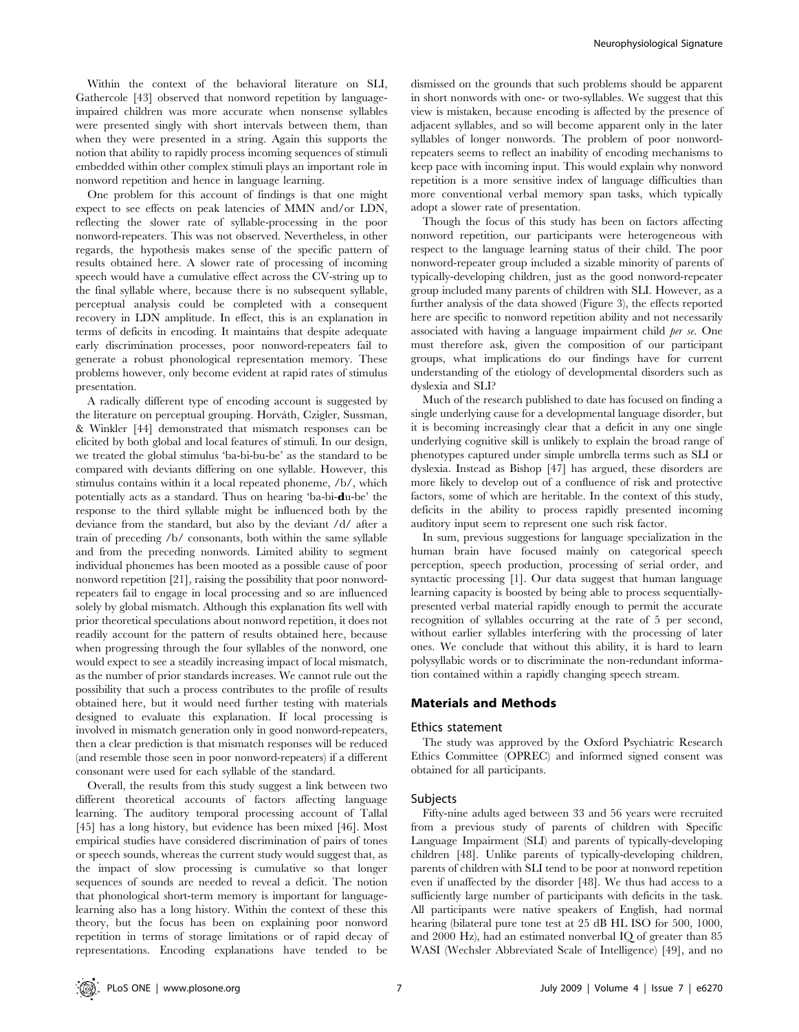Within the context of the behavioral literature on SLI, Gathercole [43] observed that nonword repetition by languageimpaired children was more accurate when nonsense syllables were presented singly with short intervals between them, than when they were presented in a string. Again this supports the notion that ability to rapidly process incoming sequences of stimuli embedded within other complex stimuli plays an important role in nonword repetition and hence in language learning.

One problem for this account of findings is that one might expect to see effects on peak latencies of MMN and/or LDN, reflecting the slower rate of syllable-processing in the poor nonword-repeaters. This was not observed. Nevertheless, in other regards, the hypothesis makes sense of the specific pattern of results obtained here. A slower rate of processing of incoming speech would have a cumulative effect across the CV-string up to the final syllable where, because there is no subsequent syllable, perceptual analysis could be completed with a consequent recovery in LDN amplitude. In effect, this is an explanation in terms of deficits in encoding. It maintains that despite adequate early discrimination processes, poor nonword-repeaters fail to generate a robust phonological representation memory. These problems however, only become evident at rapid rates of stimulus presentation.

A radically different type of encoding account is suggested by the literature on perceptual grouping. Horváth, Czigler, Sussman, & Winkler [44] demonstrated that mismatch responses can be elicited by both global and local features of stimuli. In our design, we treated the global stimulus 'ba-bi-bu-be' as the standard to be compared with deviants differing on one syllable. However, this stimulus contains within it a local repeated phoneme, /b/, which potentially acts as a standard. Thus on hearing 'ba-bi-du-be' the response to the third syllable might be influenced both by the deviance from the standard, but also by the deviant /d/ after a train of preceding /b/ consonants, both within the same syllable and from the preceding nonwords. Limited ability to segment individual phonemes has been mooted as a possible cause of poor nonword repetition [21], raising the possibility that poor nonwordrepeaters fail to engage in local processing and so are influenced solely by global mismatch. Although this explanation fits well with prior theoretical speculations about nonword repetition, it does not readily account for the pattern of results obtained here, because when progressing through the four syllables of the nonword, one would expect to see a steadily increasing impact of local mismatch, as the number of prior standards increases. We cannot rule out the possibility that such a process contributes to the profile of results obtained here, but it would need further testing with materials designed to evaluate this explanation. If local processing is involved in mismatch generation only in good nonword-repeaters, then a clear prediction is that mismatch responses will be reduced (and resemble those seen in poor nonword-repeaters) if a different consonant were used for each syllable of the standard.

Overall, the results from this study suggest a link between two different theoretical accounts of factors affecting language learning. The auditory temporal processing account of Tallal [45] has a long history, but evidence has been mixed [46]. Most empirical studies have considered discrimination of pairs of tones or speech sounds, whereas the current study would suggest that, as the impact of slow processing is cumulative so that longer sequences of sounds are needed to reveal a deficit. The notion that phonological short-term memory is important for languagelearning also has a long history. Within the context of these this theory, but the focus has been on explaining poor nonword repetition in terms of storage limitations or of rapid decay of representations. Encoding explanations have tended to be

dismissed on the grounds that such problems should be apparent in short nonwords with one- or two-syllables. We suggest that this view is mistaken, because encoding is affected by the presence of adjacent syllables, and so will become apparent only in the later syllables of longer nonwords. The problem of poor nonwordrepeaters seems to reflect an inability of encoding mechanisms to keep pace with incoming input. This would explain why nonword repetition is a more sensitive index of language difficulties than more conventional verbal memory span tasks, which typically adopt a slower rate of presentation.

Though the focus of this study has been on factors affecting nonword repetition, our participants were heterogeneous with respect to the language learning status of their child. The poor nonword-repeater group included a sizable minority of parents of typically-developing children, just as the good nonword-repeater group included many parents of children with SLI. However, as a further analysis of the data showed (Figure 3), the effects reported here are specific to nonword repetition ability and not necessarily associated with having a language impairment child per se. One must therefore ask, given the composition of our participant groups, what implications do our findings have for current understanding of the etiology of developmental disorders such as dyslexia and SLI?

Much of the research published to date has focused on finding a single underlying cause for a developmental language disorder, but it is becoming increasingly clear that a deficit in any one single underlying cognitive skill is unlikely to explain the broad range of phenotypes captured under simple umbrella terms such as SLI or dyslexia. Instead as Bishop [47] has argued, these disorders are more likely to develop out of a confluence of risk and protective factors, some of which are heritable. In the context of this study, deficits in the ability to process rapidly presented incoming auditory input seem to represent one such risk factor.

In sum, previous suggestions for language specialization in the human brain have focused mainly on categorical speech perception, speech production, processing of serial order, and syntactic processing [1]. Our data suggest that human language learning capacity is boosted by being able to process sequentiallypresented verbal material rapidly enough to permit the accurate recognition of syllables occurring at the rate of 5 per second, without earlier syllables interfering with the processing of later ones. We conclude that without this ability, it is hard to learn polysyllabic words or to discriminate the non-redundant information contained within a rapidly changing speech stream.

#### Materials and Methods

#### Ethics statement

The study was approved by the Oxford Psychiatric Research Ethics Committee (OPREC) and informed signed consent was obtained for all participants.

#### Subjects

Fifty-nine adults aged between 33 and 56 years were recruited from a previous study of parents of children with Specific Language Impairment (SLI) and parents of typically-developing children [48]. Unlike parents of typically-developing children, parents of children with SLI tend to be poor at nonword repetition even if unaffected by the disorder [48]. We thus had access to a sufficiently large number of participants with deficits in the task. All participants were native speakers of English, had normal hearing (bilateral pure tone test at 25 dB HL ISO for 500, 1000, and 2000 Hz), had an estimated nonverbal IQ of greater than 85 WASI (Wechsler Abbreviated Scale of Intelligence) [49], and no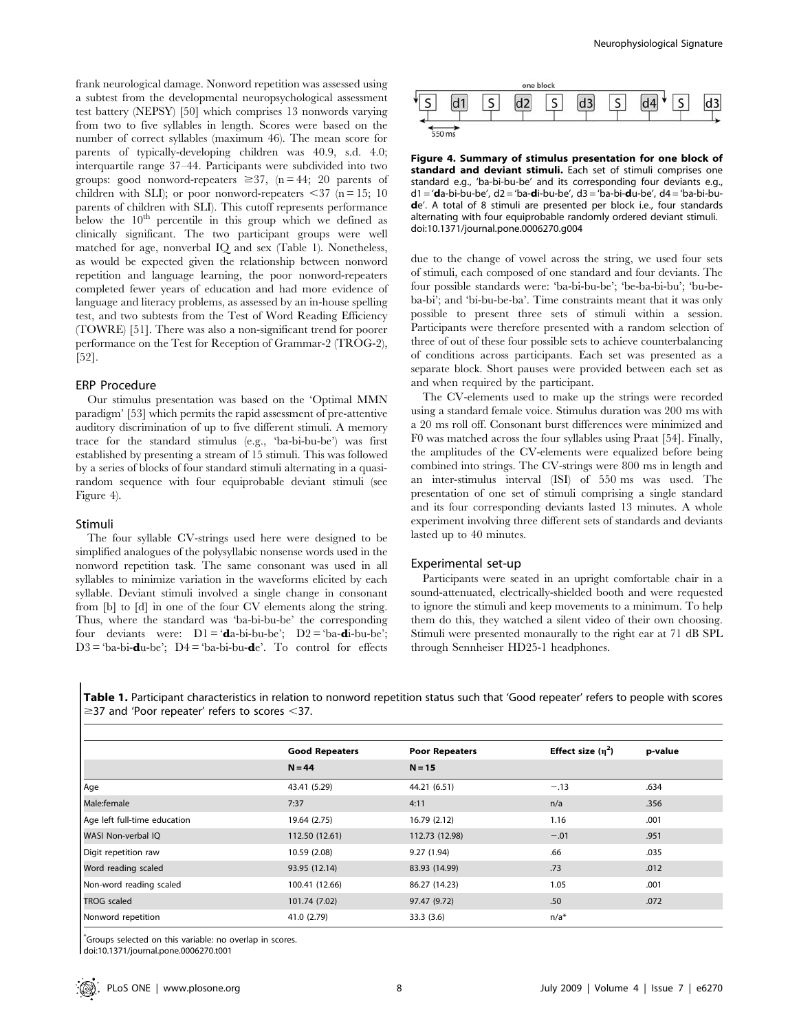frank neurological damage. Nonword repetition was assessed using a subtest from the developmental neuropsychological assessment test battery (NEPSY) [50] which comprises 13 nonwords varying from two to five syllables in length. Scores were based on the number of correct syllables (maximum 46). The mean score for parents of typically-developing children was 40.9, s.d. 4.0; interquartile range 37–44. Participants were subdivided into two groups: good nonword-repeaters  $\geq 37$ , (n = 44; 20 parents of children with SLI); or poor nonword-repeaters  $\langle 37 \rangle$  (n = 15; 10) parents of children with SLI). This cutoff represents performance below the  $10^{th}$  percentile in this group which we defined as clinically significant. The two participant groups were well matched for age, nonverbal IQ and sex (Table 1). Nonetheless, as would be expected given the relationship between nonword repetition and language learning, the poor nonword-repeaters completed fewer years of education and had more evidence of language and literacy problems, as assessed by an in-house spelling test, and two subtests from the Test of Word Reading Efficiency (TOWRE) [51]. There was also a non-significant trend for poorer performance on the Test for Reception of Grammar-2 (TROG-2), [52].

### ERP Procedure

Our stimulus presentation was based on the 'Optimal MMN paradigm' [53] which permits the rapid assessment of pre-attentive auditory discrimination of up to five different stimuli. A memory trace for the standard stimulus (e.g., 'ba-bi-bu-be') was first established by presenting a stream of 15 stimuli. This was followed by a series of blocks of four standard stimuli alternating in a quasirandom sequence with four equiprobable deviant stimuli (see Figure 4).

#### Stimuli

The four syllable CV-strings used here were designed to be simplified analogues of the polysyllabic nonsense words used in the nonword repetition task. The same consonant was used in all syllables to minimize variation in the waveforms elicited by each syllable. Deviant stimuli involved a single change in consonant from [b] to [d] in one of the four CV elements along the string. Thus, where the standard was 'ba-bi-bu-be' the corresponding four deviants were:  $D1 = 'da-bi-bu-be'; D2 = 'ba-di-bu-be';$  $D3 = 'ba-bi$ -du-be';  $D4 = 'ba-bi-bu$ -de'. To control for effects



Figure 4. Summary of stimulus presentation for one block of standard and deviant stimuli. Each set of stimuli comprises one standard e.g., 'ba-bi-bu-be' and its corresponding four deviants e.g.,  $d1 = 'da-bi-bu-be', d2 = 'ba-di-bu-be', d3 = 'ba-bi-du-be', d4 = 'ba-bi-bu$ de'. A total of 8 stimuli are presented per block i.e., four standards alternating with four equiprobable randomly ordered deviant stimuli. doi:10.1371/journal.pone.0006270.g004

due to the change of vowel across the string, we used four sets of stimuli, each composed of one standard and four deviants. The four possible standards were: 'ba-bi-bu-be'; 'be-ba-bi-bu'; 'bu-beba-bi'; and 'bi-bu-be-ba'. Time constraints meant that it was only possible to present three sets of stimuli within a session. Participants were therefore presented with a random selection of three of out of these four possible sets to achieve counterbalancing of conditions across participants. Each set was presented as a separate block. Short pauses were provided between each set as and when required by the participant.

The CV-elements used to make up the strings were recorded using a standard female voice. Stimulus duration was 200 ms with a 20 ms roll off. Consonant burst differences were minimized and F0 was matched across the four syllables using Praat [54]. Finally, the amplitudes of the CV-elements were equalized before being combined into strings. The CV-strings were 800 ms in length and an inter-stimulus interval (ISI) of 550 ms was used. The presentation of one set of stimuli comprising a single standard and its four corresponding deviants lasted 13 minutes. A whole experiment involving three different sets of standards and deviants lasted up to 40 minutes.

#### Experimental set-up

Participants were seated in an upright comfortable chair in a sound-attenuated, electrically-shielded booth and were requested to ignore the stimuli and keep movements to a minimum. To help them do this, they watched a silent video of their own choosing. Stimuli were presented monaurally to the right ear at 71 dB SPL through Sennheiser HD25-1 headphones.

Table 1. Participant characteristics in relation to nonword repetition status such that 'Good repeater' refers to people with scores  $\ge$ 37 and 'Poor repeater' refers to scores <37.

|                              | <b>Good Repeaters</b> | <b>Poor Repeaters</b> | Effect size $(n^2)$ | p-value |
|------------------------------|-----------------------|-----------------------|---------------------|---------|
|                              | $N = 44$              | $N = 15$              |                     |         |
| Age                          | 43.41 (5.29)          | 44.21 (6.51)          | $-.13$              | .634    |
| Male:female                  | 7:37                  | 4:11                  | n/a                 | .356    |
| Age left full-time education | 19.64 (2.75)          | 16.79 (2.12)          | 1.16                | .001    |
| WASI Non-verbal IQ           | 112.50 (12.61)        | 112.73 (12.98)        | $-.01$              | .951    |
| Digit repetition raw         | 10.59 (2.08)          | 9.27(1.94)            | .66                 | .035    |
| Word reading scaled          | 93.95 (12.14)         | 83.93 (14.99)         | .73                 | .012    |
| Non-word reading scaled      | 100.41 (12.66)        | 86.27 (14.23)         | 1.05                | .001    |
| <b>TROG</b> scaled           | 101.74 (7.02)         | 97.47 (9.72)          | .50                 | .072    |
| Nonword repetition           | 41.0 (2.79)           | 33.3(3.6)             | $n/a^*$             |         |

\* Groups selected on this variable: no overlap in scores.

doi:10.1371/journal.pone.0006270.t001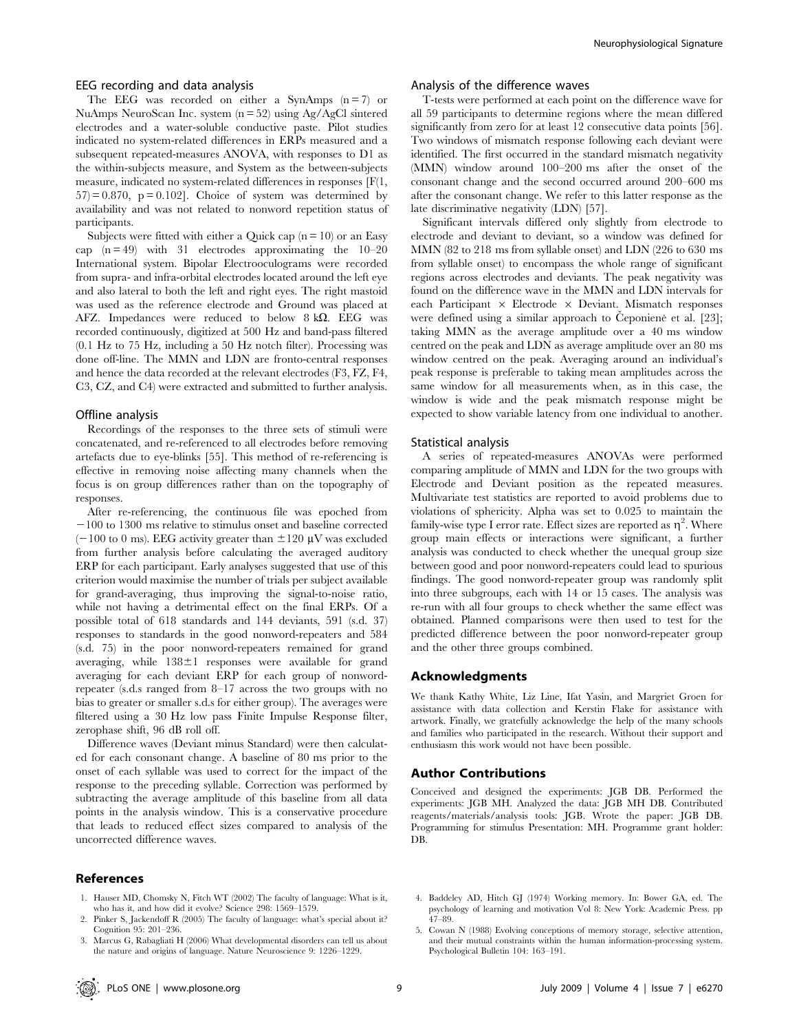#### EEG recording and data analysis

The EEG was recorded on either a SynAmps  $(n=7)$  or NuAmps NeuroScan Inc. system (n = 52) using Ag/AgCl sintered electrodes and a water-soluble conductive paste. Pilot studies indicated no system-related differences in ERPs measured and a subsequent repeated-measures ANOVA, with responses to D1 as the within-subjects measure, and System as the between-subjects measure, indicated no system-related differences in responses [F(1,  $57$  = 0.870, p = 0.102]. Choice of system was determined by availability and was not related to nonword repetition status of participants.

Subjects were fitted with either a Quick cap  $(n = 10)$  or an Easy cap  $(n = 49)$  with 31 electrodes approximating the 10–20 International system. Bipolar Electrooculograms were recorded from supra- and infra-orbital electrodes located around the left eye and also lateral to both the left and right eyes. The right mastoid was used as the reference electrode and Ground was placed at AFZ. Impedances were reduced to below  $8 k\Omega$ . EEG was recorded continuously, digitized at 500 Hz and band-pass filtered (0.1 Hz to 75 Hz, including a 50 Hz notch filter). Processing was done off-line. The MMN and LDN are fronto-central responses and hence the data recorded at the relevant electrodes (F3, FZ, F4, C3, CZ, and C4) were extracted and submitted to further analysis.

#### Offline analysis

Recordings of the responses to the three sets of stimuli were concatenated, and re-referenced to all electrodes before removing artefacts due to eye-blinks [55]. This method of re-referencing is effective in removing noise affecting many channels when the focus is on group differences rather than on the topography of responses.

After re-referencing, the continuous file was epoched from  $-100$  to 1300 ms relative to stimulus onset and baseline corrected  $(-100 \text{ to } 0 \text{ ms})$ . EEG activity greater than  $\pm 120 \mu V$  was excluded from further analysis before calculating the averaged auditory ERP for each participant. Early analyses suggested that use of this criterion would maximise the number of trials per subject available for grand-averaging, thus improving the signal-to-noise ratio, while not having a detrimental effect on the final ERPs. Of a possible total of 618 standards and 144 deviants, 591 (s.d. 37) responses to standards in the good nonword-repeaters and 584 (s.d. 75) in the poor nonword-repeaters remained for grand averaging, while  $138 \pm 1$  responses were available for grand averaging for each deviant ERP for each group of nonwordrepeater (s.d.s ranged from 8–17 across the two groups with no bias to greater or smaller s.d.s for either group). The averages were filtered using a 30 Hz low pass Finite Impulse Response filter, zerophase shift, 96 dB roll off.

Difference waves (Deviant minus Standard) were then calculated for each consonant change. A baseline of 80 ms prior to the onset of each syllable was used to correct for the impact of the response to the preceding syllable. Correction was performed by subtracting the average amplitude of this baseline from all data points in the analysis window. This is a conservative procedure that leads to reduced effect sizes compared to analysis of the uncorrected difference waves.

#### References

- 1. Hauser MD, Chomsky N, Fitch WT (2002) The faculty of language: What is it, who has it, and how did it evolve? Science 298: 1569–1579.
- Pinker S, Jackendoff R (2005) The faculty of language: what's special about it? Cognition 95: 201–236.
- 3. Marcus G, Rabagliati H (2006) What developmental disorders can tell us about the nature and origins of language. Nature Neuroscience 9: 1226–1229.

## Analysis of the difference waves

T-tests were performed at each point on the difference wave for all 59 participants to determine regions where the mean differed significantly from zero for at least 12 consecutive data points [56]. Two windows of mismatch response following each deviant were identified. The first occurred in the standard mismatch negativity (MMN) window around 100–200 ms after the onset of the consonant change and the second occurred around 200–600 ms after the consonant change. We refer to this latter response as the late discriminative negativity (LDN) [57].

Significant intervals differed only slightly from electrode to electrode and deviant to deviant, so a window was defined for MMN (82 to 218 ms from syllable onset) and LDN (226 to 630 ms from syllable onset) to encompass the whole range of significant regions across electrodes and deviants. The peak negativity was found on the difference wave in the MMN and LDN intervals for each Participant  $\times$  Electrode  $\times$  Deviant. Mismatch responses were defined using a similar approach to Čeponiene et al. [23]; taking MMN as the average amplitude over a 40 ms window centred on the peak and LDN as average amplitude over an 80 ms window centred on the peak. Averaging around an individual's peak response is preferable to taking mean amplitudes across the same window for all measurements when, as in this case, the window is wide and the peak mismatch response might be expected to show variable latency from one individual to another.

#### Statistical analysis

A series of repeated-measures ANOVAs were performed comparing amplitude of MMN and LDN for the two groups with Electrode and Deviant position as the repeated measures. Multivariate test statistics are reported to avoid problems due to violations of sphericity. Alpha was set to 0.025 to maintain the family-wise type I error rate. Effect sizes are reported as  $\eta^2$ . Where group main effects or interactions were significant, a further analysis was conducted to check whether the unequal group size between good and poor nonword-repeaters could lead to spurious findings. The good nonword-repeater group was randomly split into three subgroups, each with 14 or 15 cases. The analysis was re-run with all four groups to check whether the same effect was obtained. Planned comparisons were then used to test for the predicted difference between the poor nonword-repeater group and the other three groups combined.

#### Acknowledgments

We thank Kathy White, Liz Line, Ifat Yasin, and Margriet Groen for assistance with data collection and Kerstin Flake for assistance with artwork. Finally, we gratefully acknowledge the help of the many schools and families who participated in the research. Without their support and enthusiasm this work would not have been possible.

## Author Contributions

Conceived and designed the experiments: JGB DB. Performed the experiments: JGB MH. Analyzed the data: JGB MH DB. Contributed reagents/materials/analysis tools: JGB. Wrote the paper: JGB DB. Programming for stimulus Presentation: MH. Programme grant holder: DB.

- 4. Baddeley AD, Hitch GJ (1974) Working memory. In: Bower GA, ed. The psychology of learning and motivation Vol 8: New York: Academic Press. pp 47–89.
- 5. Cowan N (1988) Evolving conceptions of memory storage, selective attention, and their mutual constraints within the human information-processing system. Psychological Bulletin 104: 163–191.